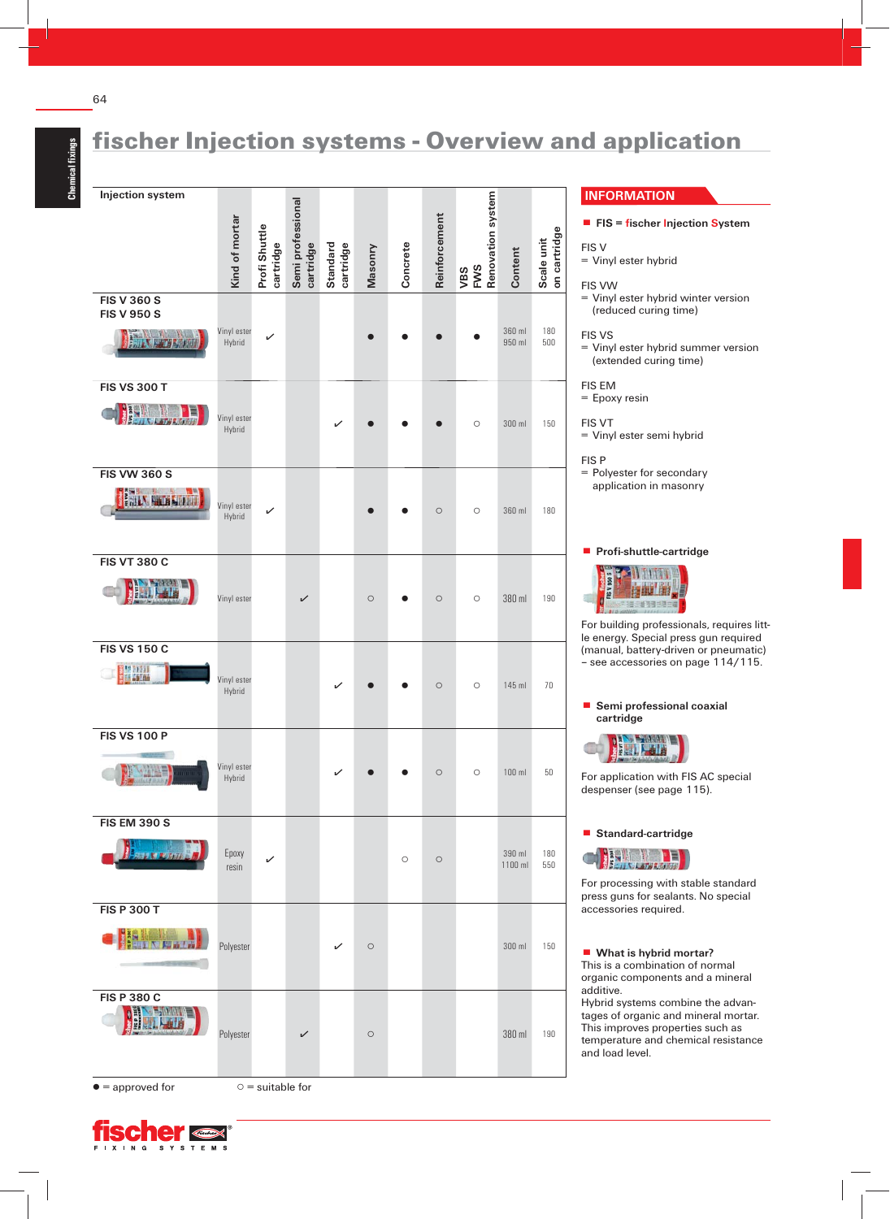64

## fischer Injection systems - Overview and application

. **FIS = fischer Injection System**

= Vinyl ester hybrid winter version (reduced curing time)

= Vinyl ester hybrid summer version (extended curing time)

= Vinyl ester semi hybrid

= Polyester for secondary application in masonry

. **Profi -shuttle-cartridge**

**TANTING Balling** 

38.478.38.00

For building professionals, requires little energy. Special press gun required (manual, battery-driven or pneumatic) – see accessories on page 114/115.

. **Semi professional coaxial**

For application with FIS AC special despenser (see page 115).

For processing with stable standard press guns for sealants. No special

Hybrid systems combine the advantages of organic and mineral mortar. This improves properties such as temperature and chemical resistance

. **Standard-cartridge**

**Ball** Trans

**Rufan** 

accessories required.

additive.

**CERT** 

and load level.

. **What is hybrid mortar?** This is a combination of normal organic components and a mineral

 **cartridge**

E

FIS V

FIS VW

FIS VS

FIS EM = Epoxy resin

FIS VT

FIS P

= Vinyl ester hybrid

**INFORMATION**

**Injection system Renovation system cartridge Semi professional** Kind of mortar Reinforcement **Reinforcement Kind of mortar cartridge** Scale unit<br>on cartridge **Profi Shuttle on cartridge cartridge Masonry Scale unit** Concrete **Standard Concrete Content VBS FWS FIS V 360 S FIS V 950 S** 180 Vinyl ester Hybrid ▯▯▯ ▯ 360 ml Fan XI. Try Andr 950 ml 500 **FIS VS 300 T Bally Lippent** Vinyl ester Hybrid ▯▯▯ ○ 300 ml 150 **FIS VW 360 S FAILY NOTE NOTIFIED** Vinyl este Hybrid (180 ml 180 ml 190 ml 190 ml 190 ml 190 ml 190 ml 190 ml 190 ml 190 ml 190 ml 190 ml 190 ml 190 ml 190 **FIS VT 380 C MALL** Vinyl ester  $\swarrow$   $\circ$   $\circ$   $\circ$   $\circ$   $\cdot$  380 ml  $\cdot$  190 **FIS VS 150 C EMAN** Vinyl este<br>Hybrid Hybrid ▯▯○ ○ 145 ml 70 **FIS VS 100 P** Vinyl este<br>Hybrid Hybrid ▯▯○ ○ 100 ml 50 **FIS EM 390 S** 180 Epoxy resin 390 ml<br>resin 1100 m 1100 ml 550 **FIS P 300 T CHISHER** Polyester  $\swarrow$   $\circ$   $\circ$  300 ml 150 **FIS P 380 C** 训导 Polyester  $\swarrow$   $\circ$   $\circ$   $\qquad$  380 ml  $\qquad$  190

 $\bullet$  = approved for  $\circ$  = suitable for